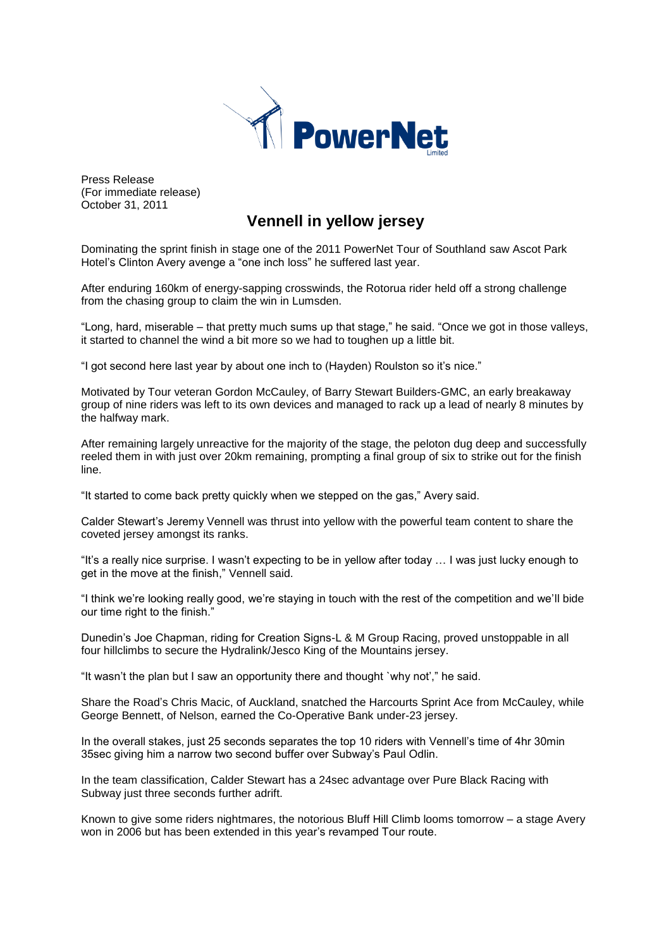

Press Release (For immediate release) October 31, 2011

# **Vennell in yellow jersey**

Dominating the sprint finish in stage one of the 2011 PowerNet Tour of Southland saw Ascot Park Hotel's Clinton Avery avenge a "one inch loss" he suffered last year.

After enduring 160km of energy-sapping crosswinds, the Rotorua rider held off a strong challenge from the chasing group to claim the win in Lumsden.

"Long, hard, miserable – that pretty much sums up that stage," he said. "Once we got in those valleys, it started to channel the wind a bit more so we had to toughen up a little bit.

"I got second here last year by about one inch to (Hayden) Roulston so it's nice."

Motivated by Tour veteran Gordon McCauley, of Barry Stewart Builders-GMC, an early breakaway group of nine riders was left to its own devices and managed to rack up a lead of nearly 8 minutes by the halfway mark.

After remaining largely unreactive for the majority of the stage, the peloton dug deep and successfully reeled them in with just over 20km remaining, prompting a final group of six to strike out for the finish line.

"It started to come back pretty quickly when we stepped on the gas," Avery said.

Calder Stewart's Jeremy Vennell was thrust into yellow with the powerful team content to share the coveted jersey amongst its ranks.

"It's a really nice surprise. I wasn't expecting to be in yellow after today … I was just lucky enough to get in the move at the finish," Vennell said.

"I think we're looking really good, we're staying in touch with the rest of the competition and we'll bide our time right to the finish."

Dunedin's Joe Chapman, riding for Creation Signs-L & M Group Racing, proved unstoppable in all four hillclimbs to secure the Hydralink/Jesco King of the Mountains jersey.

"It wasn't the plan but I saw an opportunity there and thought `why not'," he said.

Share the Road's Chris Macic, of Auckland, snatched the Harcourts Sprint Ace from McCauley, while George Bennett, of Nelson, earned the Co-Operative Bank under-23 jersey.

In the overall stakes, just 25 seconds separates the top 10 riders with Vennell's time of 4hr 30min 35sec giving him a narrow two second buffer over Subway's Paul Odlin.

In the team classification, Calder Stewart has a 24sec advantage over Pure Black Racing with Subway just three seconds further adrift.

Known to give some riders nightmares, the notorious Bluff Hill Climb looms tomorrow – a stage Avery won in 2006 but has been extended in this year's revamped Tour route.